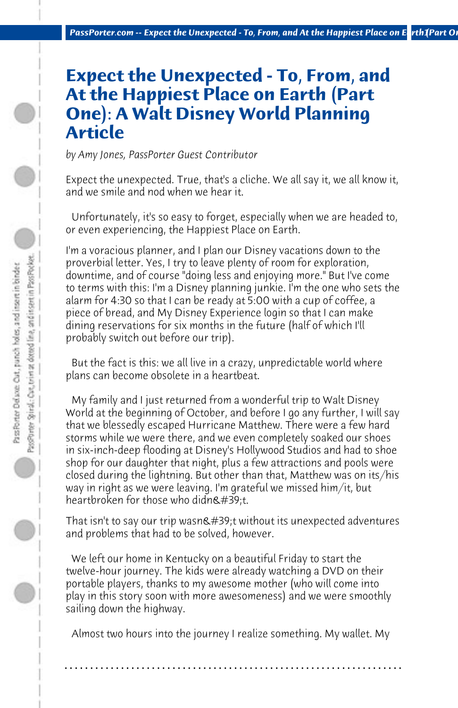## **Expect the Unexpected - To, From, and At the Happiest Place on Earth (Part One): A Walt Disney World Planning Article**

*by Amy Jones, PassPorter Guest Contributor*

Expect the unexpected. True, that's a cliche. We all say it, we all know it, and we smile and nod when we hear it.

 Unfortunately, it's so easy to forget, especially when we are headed to, or even experiencing, the Happiest Place on Earth.

I'm a voracious planner, and I plan our Disney vacations down to the proverbial letter. Yes, I try to leave plenty of room for exploration, downtime, and of course "doing less and enjoying more." But I've come to terms with this: I'm a Disney planning junkie. I'm the one who sets the alarm for 4:30 so that I can be ready at 5:00 with a cup of coffee, a piece of bread, and My Disney Experience login so that I can make dining reservations for six months in the future (half of which I'll probably switch out before our trip).

 But the fact is this: we all live in a crazy, unpredictable world where plans can become obsolete in a heartbeat.

 My family and I just returned from a wonderful trip to Walt Disney World at the beginning of October, and before I go any further, I will say that we blessedly escaped Hurricane Matthew. There were a few hard storms while we were there, and we even completely soaked our shoes in six-inch-deep flooding at Disney's Hollywood Studios and had to shoe shop for our daughter that night, plus a few attractions and pools were closed during the lightning. But other than that, Matthew was on its/his way in right as we were leaving. I'm grateful we missed him/it, but heartbroken for those who didn $\&\#39$ :t.

That isn't to say our trip wasn $\&\#39$ ;t without its unexpected adventures and problems that had to be solved, however.

 We left our home in Kentucky on a beautiful Friday to start the twelve-hour journey. The kids were already watching a DVD on their portable players, thanks to my awesome mother (who will come into play in this story soon with more awesomeness) and we were smoothly sailing down the highway.

 Almost two hours into the journey I realize something. My wallet. My

**. . . . . . . . . . . . . . . . . . . . . . . . . . . . . . . . . . . . . . . . . . . . . . . . . . . . . . . . . . . . . . . . . .**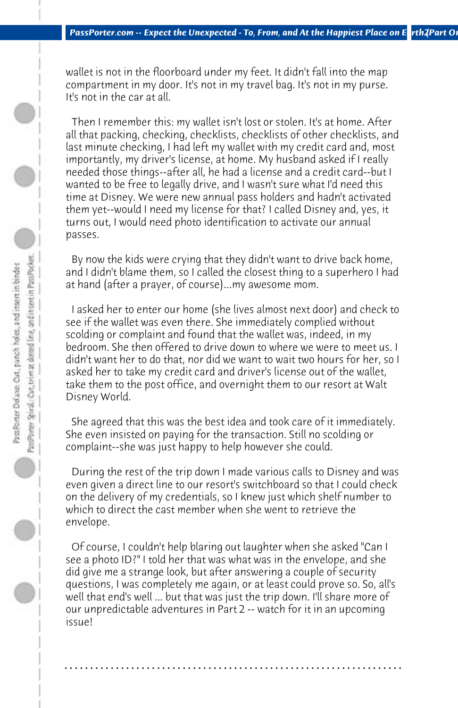wallet is not in the floorboard under my feet. It didn't fall into the map compartment in my door. It's not in my travel bag. It's not in my purse. It's not in the car at all.

 Then I remember this: my wallet isn't lost or stolen. It's at home. After all that packing, checking, checklists, checklists of other checklists, and last minute checking, I had left my wallet with my credit card and, most importantly, my driver's license, at home. My husband asked if I really needed those things--after all, he had a license and a credit card--but I wanted to be free to legally drive, and I wasn't sure what I'd need this time at Disney. We were new annual pass holders and hadn't activated them yet--would I need my license for that? I called Disney and, yes, it turns out, I would need photo identification to activate our annual passes.

 By now the kids were crying that they didn't want to drive back home, and I didn't blame them, so I called the closest thing to a superhero I had at hand (after a prayer, of course)...my awesome mom.

 I asked her to enter our home (she lives almost next door) and check to see if the wallet was even there. She immediately complied without scolding or complaint and found that the wallet was, indeed, in my bedroom. She then offered to drive down to where we were to meet us. I didn't want her to do that, nor did we want to wait two hours for her, so I asked her to take my credit card and driver's license out of the wallet, take them to the post office, and overnight them to our resort at Walt Disney World.

 She agreed that this was the best idea and took care of it immediately. She even insisted on paying for the transaction. Still no scolding or complaint--she was just happy to help however she could.

 During the rest of the trip down I made various calls to Disney and was even given a direct line to our resort's switchboard so that I could check on the delivery of my credentials, so I knew just which shelf number to which to direct the cast member when she went to retrieve the envelope.

 Of course, I couldn't help blaring out laughter when she asked "Can I see a photo ID?" I told her that was what was in the envelope, and she did give me a strange look, but after answering a couple of security questions, I was completely me again, or at least could prove so. So, all's well that end's well ... but that was just the trip down. I'll share more of our unpredictable adventures in Part 2 -- watch for it in an upcoming issue!

**. . . . . . . . . . . . . . . . . . . . . . . . . . . . . . . . . . . . . . . . . . . . . . . . . . . . . . . . . . . . . . . . . .**